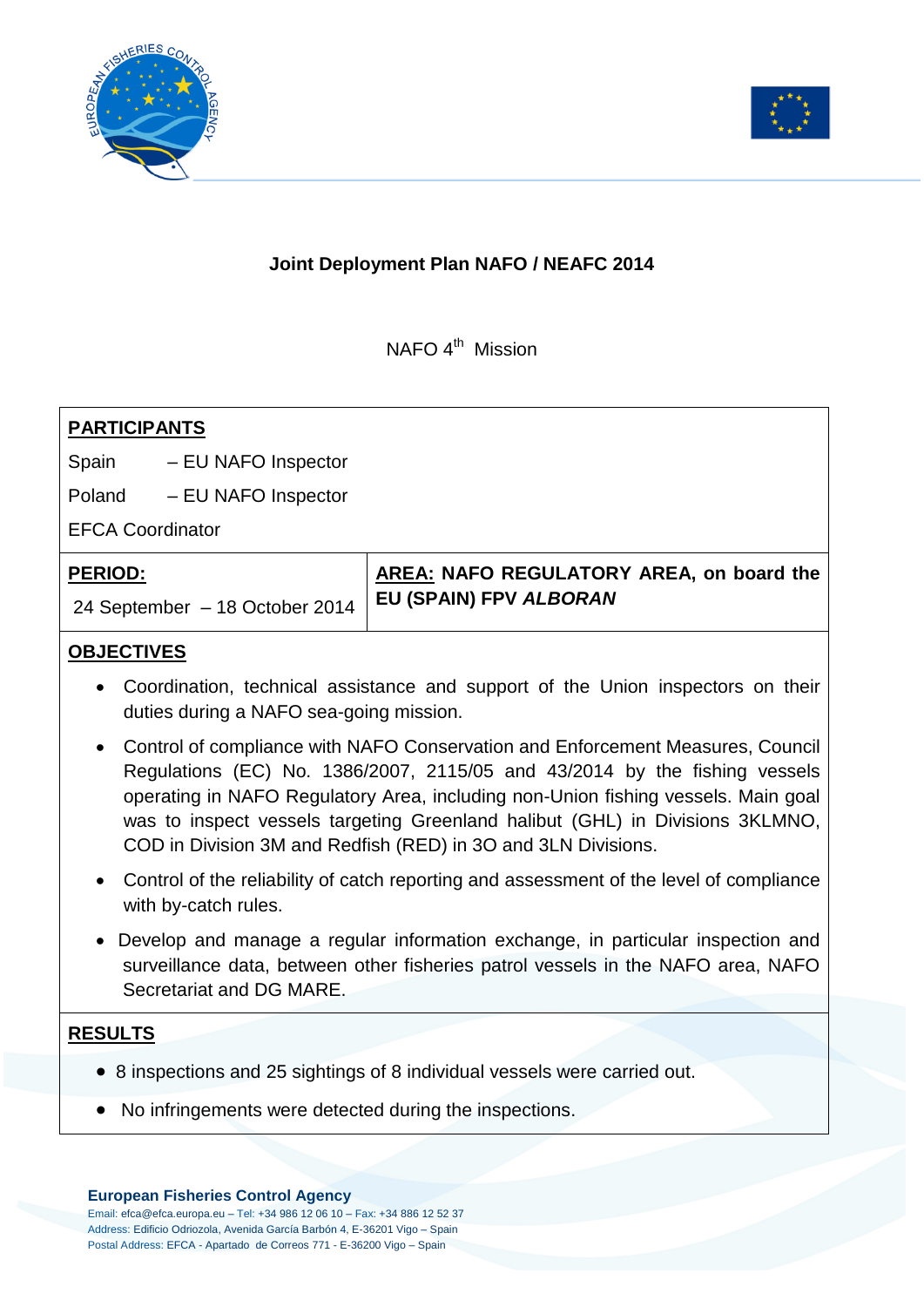



# **Joint Deployment Plan NAFO / NEAFC 2014**

NAFO 4<sup>th</sup> Mission

| <b>PARTICIPANTS</b>            |                     |                                                                    |
|--------------------------------|---------------------|--------------------------------------------------------------------|
| Spain                          | - EU NAFO Inspector |                                                                    |
| Poland                         | - EU NAFO Inspector |                                                                    |
| <b>EFCA Coordinator</b>        |                     |                                                                    |
| <b>PERIOD:</b>                 |                     | AREA: NAFO REGULATORY AREA, on board the<br>EU (SPAIN) FPV ALBORAN |
| 24 September - 18 October 2014 |                     |                                                                    |

## **OBJECTIVES**

- Coordination, technical assistance and support of the Union inspectors on their duties during a NAFO sea-going mission.
- Control of compliance with NAFO Conservation and Enforcement Measures, Council Regulations (EC) No. 1386/2007, 2115/05 and 43/2014 by the fishing vessels operating in NAFO Regulatory Area, including non-Union fishing vessels. Main goal was to inspect vessels targeting Greenland halibut (GHL) in Divisions 3KLMNO, COD in Division 3M and Redfish (RED) in 3O and 3LN Divisions.
- Control of the reliability of catch reporting and assessment of the level of compliance with by-catch rules.
- Develop and manage a regular information exchange, in particular inspection and surveillance data, between other fisheries patrol vessels in the NAFO area, NAFO Secretariat and DG MARE.

### **RESULTS**

- 8 inspections and 25 sightings of 8 individual vessels were carried out.
- No infringements were detected during the inspections.

#### **European Fisheries Control Agency**

Email: efca@efca.europa.eu – Tel: +34 986 12 06 10 – Fax: +34 886 12 52 37 Address: Edificio Odriozola, Avenida García Barbón 4, E-36201 Vigo – Spain Postal Address: EFCA - Apartado de Correos 771 - E-36200 Vigo – Spain